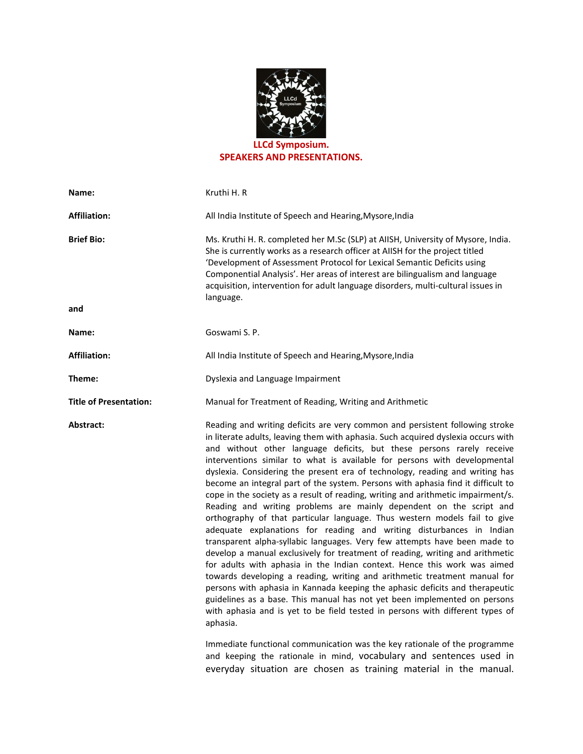

SPEAKERS AND PRESENTATIONS.

| Name:                         | Kruthi H. R                                                                                                                                                                                                                                                                                                                                                                                                                                                                                                                                                                                                                                                                                                                                                                                                                                                                                                                                                                                                                                                                                                                                                                                                                                                                                                                                                                                                                                                                                                                                      |
|-------------------------------|--------------------------------------------------------------------------------------------------------------------------------------------------------------------------------------------------------------------------------------------------------------------------------------------------------------------------------------------------------------------------------------------------------------------------------------------------------------------------------------------------------------------------------------------------------------------------------------------------------------------------------------------------------------------------------------------------------------------------------------------------------------------------------------------------------------------------------------------------------------------------------------------------------------------------------------------------------------------------------------------------------------------------------------------------------------------------------------------------------------------------------------------------------------------------------------------------------------------------------------------------------------------------------------------------------------------------------------------------------------------------------------------------------------------------------------------------------------------------------------------------------------------------------------------------|
| <b>Affiliation:</b>           | All India Institute of Speech and Hearing, Mysore, India                                                                                                                                                                                                                                                                                                                                                                                                                                                                                                                                                                                                                                                                                                                                                                                                                                                                                                                                                                                                                                                                                                                                                                                                                                                                                                                                                                                                                                                                                         |
| <b>Brief Bio:</b><br>and      | Ms. Kruthi H. R. completed her M.Sc (SLP) at AIISH, University of Mysore, India.<br>She is currently works as a research officer at AIISH for the project titled<br>'Development of Assessment Protocol for Lexical Semantic Deficits using<br>Componential Analysis'. Her areas of interest are bilingualism and language<br>acquisition, intervention for adult language disorders, multi-cultural issues in<br>language.                                                                                                                                                                                                                                                                                                                                                                                                                                                                                                                                                                                                                                                                                                                                                                                                                                                                                                                                                                                                                                                                                                                      |
|                               | Goswami S. P.                                                                                                                                                                                                                                                                                                                                                                                                                                                                                                                                                                                                                                                                                                                                                                                                                                                                                                                                                                                                                                                                                                                                                                                                                                                                                                                                                                                                                                                                                                                                    |
| Name:                         |                                                                                                                                                                                                                                                                                                                                                                                                                                                                                                                                                                                                                                                                                                                                                                                                                                                                                                                                                                                                                                                                                                                                                                                                                                                                                                                                                                                                                                                                                                                                                  |
| <b>Affiliation:</b>           | All India Institute of Speech and Hearing, Mysore, India                                                                                                                                                                                                                                                                                                                                                                                                                                                                                                                                                                                                                                                                                                                                                                                                                                                                                                                                                                                                                                                                                                                                                                                                                                                                                                                                                                                                                                                                                         |
| Theme:                        | Dyslexia and Language Impairment                                                                                                                                                                                                                                                                                                                                                                                                                                                                                                                                                                                                                                                                                                                                                                                                                                                                                                                                                                                                                                                                                                                                                                                                                                                                                                                                                                                                                                                                                                                 |
| <b>Title of Presentation:</b> | Manual for Treatment of Reading, Writing and Arithmetic                                                                                                                                                                                                                                                                                                                                                                                                                                                                                                                                                                                                                                                                                                                                                                                                                                                                                                                                                                                                                                                                                                                                                                                                                                                                                                                                                                                                                                                                                          |
| Abstract:                     | Reading and writing deficits are very common and persistent following stroke<br>in literate adults, leaving them with aphasia. Such acquired dyslexia occurs with<br>and without other language deficits, but these persons rarely receive<br>interventions similar to what is available for persons with developmental<br>dyslexia. Considering the present era of technology, reading and writing has<br>become an integral part of the system. Persons with aphasia find it difficult to<br>cope in the society as a result of reading, writing and arithmetic impairment/s.<br>Reading and writing problems are mainly dependent on the script and<br>orthography of that particular language. Thus western models fail to give<br>adequate explanations for reading and writing disturbances in Indian<br>transparent alpha-syllabic languages. Very few attempts have been made to<br>develop a manual exclusively for treatment of reading, writing and arithmetic<br>for adults with aphasia in the Indian context. Hence this work was aimed<br>towards developing a reading, writing and arithmetic treatment manual for<br>persons with aphasia in Kannada keeping the aphasic deficits and therapeutic<br>guidelines as a base. This manual has not yet been implemented on persons<br>with aphasia and is yet to be field tested in persons with different types of<br>aphasia.<br>Immediate functional communication was the key rationale of the programme<br>and keeping the rationale in mind, vocabulary and sentences used in |

everyday situation are chosen as training material in the manual.